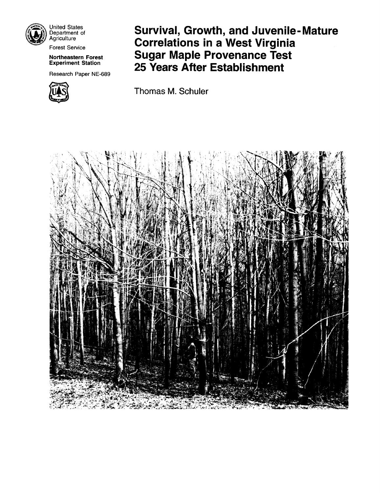

United States Department of **Agriculture** 

### **Northeastern Forest Experiment Station**

Research Paper NE-689



**Survival, Growth, and Juvenile- Mature**  Agriculture **Correlations in a West Virginia** Forest Service **Sugar Maple Provenance Test 25 Years After Establishment** 

Thomas M. Schuler

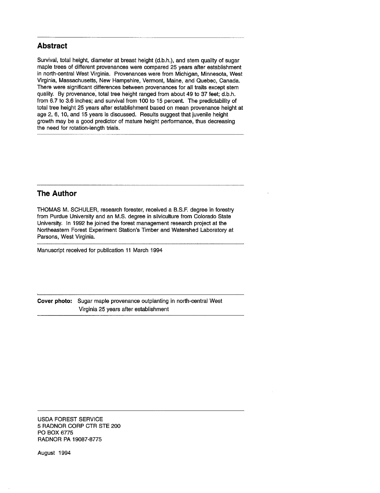## **Abstract**

Survival, total height, diameter at breast height (d.b.h.), and stem quality of sugar maple trees of different provenances were compared 25 years after establishment in north-central West Virginia. Provenances were from Michigan, Minnesota, West Virginia, Massachusetts, New Hampshire, Vermont, Maine, and Quebec, Canada. There were significant differences between provenances for all traits except stem quality. By provenance; total tree height ranged from about 49 to 37 feet; d.b.h. from 6.7 to 3.6 inches; and survival from 100 to 15 percent. The predictability of total tree height 25 years after establishment based on mean provenance height at age 2, 6, 10, and 15 years is discussed. Results suggest that juvenile height growth may be a good predictor of mature height performance, thus decreasing the need for rotation-length trials.

## **The Author**

THOMAS M. SCHULER, research forester, received a B.S.F. degree in forestry from Purdue University and an M.S. degree in silviculture from Colorado State University. In 1992 he joined the forest management research project at the Northeastern Forest Experiment Station's Timber and Watershed Laboratory at Parsons, West Virginia.

Manuscript received for publication 11 March 1994

**Cover photo:** Sugar maple provenance outplanting in north-central West Virginia 25 years after establishment

USDA FOREST SERVICE 5 RADNOR CORP CTR STE 200 PO BOX 6775 RADNOR PA 19087-8775

August 1994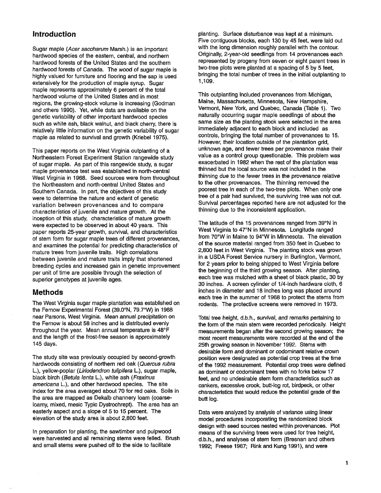## **introduction**

Sugar maple (Acer saccharum Marsh.) is an important hardwood species of the eastern, central, and northern hardwood forests of the United States and the southern hardwood forests of Canada. The wood of sugar maple is highly valued for furniture and flooring and the sap is used extensively for the production of maple syrup. Sugar maple represents approximately 6 percent of the total hardwood volume of the United States and in most regions, the growing-stock volume is increasing (Godman and others 1990). Yet, while data are available on the genetic variability of other important hardwood species such as white ash, black walnut, and black cherry, there is relatively little information on the genetic variability of sugar maple as related to survival and growth (Kriebel 1975).

This paper reports on the West Virginia outplanting of a Northeastern Forest Experiment Station rangewide study of sugar maple. As part of this rangewide study, a sugar maple provenance test was established in north-central West Virginia in 1968. Seed sources were from throughout the Northeastern and north-central United States and Southern Canada. In part, the objectives of this study were to determine the nature and extent of genetic variation between provenances and to compare characteristics of juvenile and mature growth. At the inception of this study, characteristics of mature growth were expected to be observed in about 40 years. This paper reports 25-year growth, survival, and characteristics of stem form for sugar maple trees of different provenances, and examines the potential for predicting characteristics of mature trees irom juvenile traits. High correlations between juvenile and mature traits imply that shortened breeding cycles and increased gain in genetic improvement per unit of time are possible through the selection of superior genotypes at juvenile ages.

### **Methods**

The West Virginia sugar maple plantation was established on the Fernow Experimental Forest (39.0°N, 79.7"W) in 1968 near Parsons, West Virginia. Mean annual precipitation on the Fernow is about 58 inches and is distributed evenly throughout the year. Mean annual temperature is 48°F and the length of the frost-free season is approximately 145 days.

The study site was previously occupied by second-growth hardwoods consisting of northern red oak (Quercus rubra L.), yellow-poplar (Liriodendron tulipifera L.), sugar maple, black birch (Betula lenta L.), white ash (Fraxinus americana L.), and other hardwood species. The site index for the area averaged about 70 for red oaks. Soils in the area are mapped as Dekalb channery loam (coarseloamy, mixed, mesic Typic Dystrochrept). The area has an easterly aspect and a slope of 5 to 15 percent. The elevation of the study area is about 2,800 feet.

In preparation for planting, the sawtimber and pulpwood were harvested and all remaining stems were felled. Brush and small stems were pushed off to the side to facilitate

planting. Surface disturbance was kept at a minimum. Five contiguous blocks, each 130 by 45 feet, were laid out with the long dimension roughly parallel with the contour. Originally, 2-year-old seedlings from 14 provenances each represented by progeny from seven or eight parent trees in two-tree plots were planted at a spacing of 5 by 5 feet, bringing the total number of trees in the initial outplanting to 1,109.

This outplanting included provenances from Michigan, Maine, Massachusetts, Minnesota, New Hampshire, Vermont, New York, and Quebec, Canada (Table 1). Two naturally occurring sugar maple seedlings of about the same size as the planting stock were selected in the area immediately adjacent to each block and included as controls, bringing the total number of provenances to 15. However, their location outside of the plantation grid, unknown age, and fewer trees per provenance make their value as a control group questionable. This problem was exacerbated in 1982 when the rest of the plantation was thinned but the local source was not included in the thinning due to the fewer trees in the provenance relative to the other provenances. The thinning removed the poorest tree in each of the two-tree plots. When only one tree of a pair had survived, the surviving tree was not cut. Survival percentages reported here are not adjusted for the thinning due to the inconsistent application.

The latitude of the 15 provenances ranged from 39"N in West Virginia to 47"N in Minnesota. Longitude ranged from 70°W in Maine to 94"W in Minnesota. The elevation of the source material ranged from 350 feet in Quebec to 2,800 feet in West Virginia. The planting stock was grown in a USDA Forest Service nursery in Burlington, Vermont, for 2 years prior to being shipped to West Virginia before the beginning of the third growing season. After planting, each tree was mulched with a sheet of black plastic, 30 by 30 inches. A screen cylinder of 1/4-inch hardware cloth, 6 inches in diameter and 18 inches long was placed around each tree in the summer of 1968 to protect the stems from rodents. The protective screens were removed in 1973.

Total tree height, d.b.h., survival, and remarks pertaining to the form of the main stem were recorded periodically. Height measurements began after the second growing season; the most recent measurements were recorded at the end of the 25th growing season in November 1992. Stems with desirable form and dominant or codominant relative crown position were designated as potential crop trees at the time of the 1992 measurement. Potential crop trees were defined as dominant or codominant trees with no forks below 17 feet, and no undesirable stem form characteristics such as cankers, excessive crook, butt-log rot, birdpeck, or other characteristics that would reduce the potential grade of the butt log.

Data were analyzed by analysis of variance using linear model procedures incorporating the randomized block design with seed sources nested within provenances. Plot means of the surviving trees were used for tree height, d.b.h., and analyses of stem form (Bresnan and others 1992; Freese 1967; Rink and Kung 1991), and were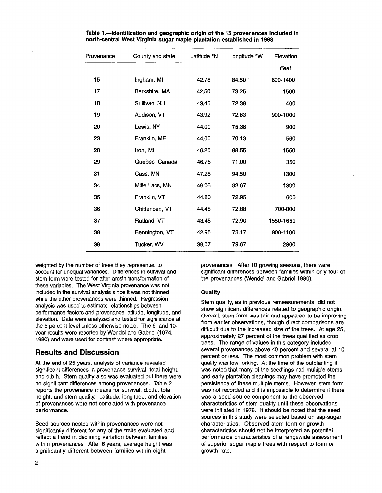| County and state | Latitude <sup>o</sup> N | Longitude °W      | Elevation |
|------------------|-------------------------|-------------------|-----------|
|                  |                         |                   | Feet      |
| Ingham, MI       | 42.75                   | $84.50^{\degree}$ | 600-1400  |
| Berkshire, MA    | 42.50                   | 73.25             | 1500      |
| Sullivan, NH     | 43.45                   | 72.38             | 400       |
| Addison, VT      | 43.92                   | 72.83             | 900-1000  |
| Lewis, NY        | 44.00                   | 75.38             | 900       |
| Franklin, ME     | 44.00                   | 70.13             | 560       |
| Iron, MI         | 46,25                   | 88.55             | 1550      |
| Quebec, Canada   | 46.75                   | 71.00             | 350       |
| Cass, MN         | 47.25                   | 94.50             | 1300      |
| Mille Lacs, MN   | 46.05                   | 93.67             | 1300      |
| Franklin, VT     | 44.80                   | 72.95             | 600       |
| Chittenden, VT   | 44.48                   | 72.88             | 700-800   |
| Rutland, VT      | 43.45                   | 72.90             | 1550-1650 |
| Bennington, VT   | 42.95                   | 73.17             | 900-1100  |
| Tucker, WV       | 39.07                   | 79.67             | 2800      |
|                  |                         |                   |           |

**Table 1.-Identification and geographic origin of the 15 provenances included in north-central West Virginia sugar maple plantation established in 1968** 

weighted by the number of trees they represented to account for unequal variances. Differences in survival and stem form were tested for after arcsin transformation of these variables. The West Virginia provenance was not included in the survival analysis since it was not thinned while the other provenances were thinned. Regression analysis was used to estimate relationships between performance factors and provenance latitude, longitude, and elevation. Data were analyzed and tested for significance at the 5 percent level unless otherwise noted. The 6- and 10 year results were reported by Wendel and Gabriel (1974, 1980) and were used for contrast where appropriate.

## **Results and Discussion**

At the end of 25 years, analysis of variance revealed significant differences in provenance survival, total height, and d.b.h. Stem quality also was evaluated but there were no significant differences among provenances. Table 2 reports the provenance means for survival, d.b.h., total height, and stem quality. Latitude, longitude, and elevation of provenances were not correlated with provenance performance.

Seed sources nested within provenances were not significantly different for any of the traits evaluated and reflect a trend in declining variation between families within provenances. After 6 years, average height was significantly different between families within eight

provenances. After 10 growing seasons, there were significant differences between families within only four of the provenances (Wendel and Gabriel 1980).

### **Quality**

Stem quality, as in previous remeasurements, did not show significant differences related to geographic origin. Overall, stem form was fair and appeared to be improving from earlier observations, though direct comparisons are difficult due to the increased size of the trees. At age 25, approximately 27 percent of the trees qualified as crop trees. The range of values in this category included several provenances above 40 percent and several at 10 percent or less. The most common problem with stem quality was low forking. At the time of the outplanting it was noted that many of the seedlings had multiple stems, and early plantation cleanings may have promoted the persistence of these multiple stems. However, stem form was not recorded and it is impossible to determine if there was a seed-source component to the observed characteristics of stem quality until these observations were initiated in 1978. It should be noted that the seed sources in this study were selected based on sap-sugar characteristics. Observed stem-form or growth characteristics should not be interpreted as potential performance characteristics of a rangewide assessment of superior sugar maple trees with respect to form or growth rate.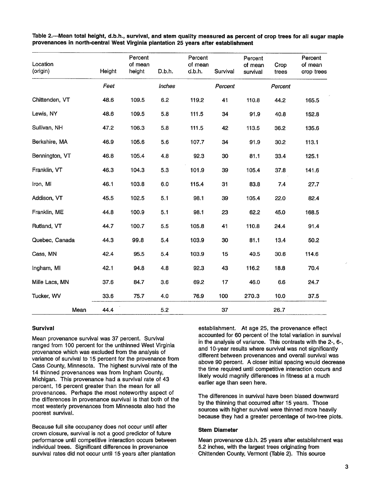| Location<br>(origin) | Height | Percent<br>of mean<br>height | D.b.h. | Percent<br>of mean<br>d.b.h. | Survival | Percent<br>of mean<br>survival | Crop<br>trees | Percent<br>of mean<br>crop trees |
|----------------------|--------|------------------------------|--------|------------------------------|----------|--------------------------------|---------------|----------------------------------|
|                      | Feet   |                              | Inches |                              | Percent  |                                | Percent       |                                  |
| Chittenden, VT       | 48.6   | 109.5                        | 6.2    | 119.2                        | 41       | 110.8                          | 44.2          | 165.5                            |
| Lewis, NY            | 48.6   | 109.5                        | 5.8    | 111.5                        | 34       | 91.9                           | 40.8          | 152.8                            |
| Sullivan, NH         | 47.2   | 106.3                        | 5.8    | 111.5                        | 42       | 113.5                          | 36.2          | 135.6                            |
| Berkshire, MA        | 46.9   | 105.6                        | 5.6    | 107.7                        | 34       | 91.9                           | 30.2          | 113.1                            |
| Bennington, VT       | 46.8   | 105.4                        | 4.8    | 92.3                         | 30       | 81.1                           | 33.4          | 125.1                            |
| Franklin, VT         | 46.3   | 104.3                        | 5.3    | 101.9                        | 39       | 105.4                          | 37.8          | 141.6                            |
| Iron, MI             | 46.1   | 103.8                        | 6.0    | 115.4                        | 31       | 83.8                           | 7.4           | 27.7                             |
| Addison, VT          | 45.5   | 102.5                        | 5.1    | 98.1                         | 39       | 105.4                          | 22.0          | 82.4                             |
| Franklin, ME         | 44.8   | 100.9                        | 5.1    | 98.1                         | 23       | 62.2                           | 45.0          | 168.5                            |
| Rutland, VT          | 44.7   | 100.7                        | 5.5    | 105.8                        | 41       | 110.8                          | 24.4          | 91.4                             |
| Quebec, Canada       | 44.3   | 99.8                         | 5.4    | 103.9                        | 30       | 81.1                           | 13.4          | 50.2                             |
| Cass, MN             | 42.4   | 95.5                         | 5.4    | 103.9                        | 15       | 40.5                           | 30.6          | 114.6                            |
| Ingham, MI           | 42.1   | 94.8                         | 4.8    | 92.3                         | 43       | 116.2                          | 18.8          | 70.4                             |
| Mille Lacs, MN       | 37.6   | 84.7                         | 3.6    | 69.2                         | 17       | 46.0                           | 6.6           | 24.7                             |
| Tucker, WV           | 33.6   | 75.7                         | 4.0    | 76.9                         | 100      | 270.3                          | 10.0          | 37.5                             |
| Mean                 | 44.4   |                              | 5.2    |                              | 37       |                                | 26.7          |                                  |

Table 2.-Mean total height, d.b.h., survival, and stem quality measured as percent **of** crop trees for all sugar maple provenances in north-central West Virginia plantation 25 years after establishment

### Survival

Mean provenance survival was **37** percent. Survival ranged from **100** percent for the unthinned West Virginia provenance which was excluded from the analysis of variance of survival to **15** percent for the provenance from Cass County, Minnesota. The highest survival rate of the **14** thinned provenances was from lngham County, Michigan. This provenance had a survival rate of **43**  percent, **16** percent greater than the mean for all provenances. Perhaps the most noteworthy aspect of the differences in provenance survival is that both of the most westerly provenances from Minnesota also had the poorest survival.

Because full site occupancy does not occur until after crown closure, survival is not a good predictor of future performance until competitive interaction occurs between individual trees. Significant differences in provenance survival rates did not occur until **15** years after plantation

establishment. At age **25,** the provenance effect accounted for **60** percent of the total variation in survival in the analysis of variance. This contrasts with the 2-, **6-,**  and 10-year results where survival was not significantly different between provenances and overall survival was above **90** percent. **A** closer initial spacing would decrease the time required until competitive interaction occurs and likely would magnify differences in fitness at a much earlier age than seen here.

The differences in survival have been biased downward by the thinning that occurred after **15** years. Those sources with higher survival were thinned more heavily because they had a greater percentage of two-tree plots.

#### Stem Diameter

Mean provenance d.b.h. 25 years after establishment was **5.2** inches, with the largest trees originating from Chittenden County, Vermont (Table **2).** This source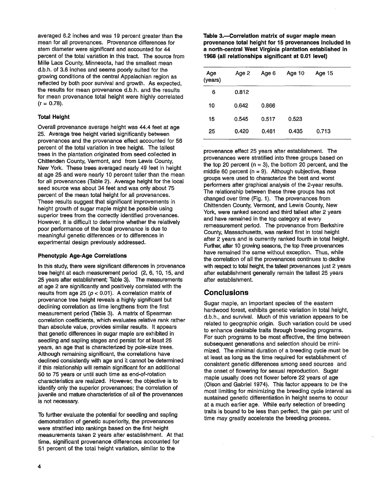averaged 6.2 inches and was 19 percent greater than the mean for all provenances. Provenance differences for stem diameter were significant and accounted for 44 percent of the total variation in this tract. The source from Mille Lacs County, Minnesota, had the smallest mean d.b.h. of 3.6 inches and seems poorly suited for the growing conditions of the central Appalachian region as reflected by both poor survival and growth. As expected, the results for mean provenance d.b.h. and the results for mean provenance total height were highly correlated  $(r = 0.78)$ .

### Total Height

Overall provenance average height was 44.4 feet at age 25. Average tree height varied significantly between provenances and the provenance effect accounted for 56 percent of the total variation in tree height. The tallest trees in the plantation originated from seed collected in Chittenden County, Vermont, and from Lewis County, New York. These trees averaged nearly 49 feet in height at age 25 and were nearly 10 percent taller than the mean for all provenances (Table 2). Average height for the local seed source was about 34 feet and was only about 75 percent of the mean total height for all provenances. These results suggest that significant improvements in height growth of sugar maple might be possible using superior trees from the correctly identified provenances. However, it is difficult to determine whether the relatively poor performance of the local provenance is due to meaningful genetic differences or to differences in experimental design previously addressed.

### Phenotypic Age-Age Correlations

In this study, there were significant differences in provenance tree height at each measurement period (2, 6, 10, 15, and 25 years after establishment; Table 3). The measurements at age 2 are significantly and positively correlated with the results from age  $25$  ( $p < 0.01$ ). A correlation matrix of provenance tree height reveals a highly significant but declining correlation as time lengthens from the first measurement period (Table 3). A matrix of Spearman correlation coefficients, which evaluates relative rank rather than absolute value, provides similar results. It appears that genetic differences in sugar maple are exhibited in seedling and sapling stages and persist for at least 25 years, an age that is characterized by pole-size trees. Although remaining significant, the correlations have declined consistently with age and it cannot be determined if this relationship will remain significant for an additional 50 to 75 years or until such time as end-of-rotation characteristics are realized. However, the objective is to identify only the superior provenances; the correlation of juvenile and mature characteristics of all of the provenances is not necessary.

To further evaluate the potential for seedling and sapling demonstration of genetic superiority, the provenances were stratified into rankings based on the first height measurements taken 2 years after establishment. At that time, significant provenance differences accounted for 51 percent of the total height variation, similar to the

Table 3.-Correlation matrix of sugar maple mean provenance total height for **15** provenances included in a north-central West Virginia plantation established in **1968** (all relationships significant at **0.01** level)

| Age<br>(years) | Age 2 | Age 6 | Age 10 | Age 15 |
|----------------|-------|-------|--------|--------|
| 6              | 0.812 |       |        |        |
| 10             | 0.642 | 0.866 |        |        |
| 15             | 0.545 | 0.517 | 0.523  |        |
| 25             | 0.420 | 0.461 | 0.435  | 0.713  |

provenance effect 25 years after establishment. The provenances were stratified into three groups based on the top 20 percent ( $n = 3$ ), the bottom 20 percent, and the middle 60 percent ( $n = 9$ ). Although subjective, these groups were used to characterize the best and worst performers after graphical analysis of the 2-year results. The relationship between these three groups has not changed over time (Fig. 1). The provenances from Chittenden County, Vermont, and Lewis County, New York, were ranked second and third tallest after 2 years and have remained in the top category at every remeasurement period. The provenance from Berkshire County, Massachusetts, was ranked first in total height after 2 years and is currently ranked fourth in total height. Further, after 10 growing seasons, the top three provenances have remained the same without exception. Thus, while the correlation of all the provenances continues to decline with respect to total height, the tallest provenances just 2 years after establishment generally remain the tallest 25 years after establishment.

# **Conclusions**

Sugar maple, an important species of the eastern hardwood forest, exhibits genetic variation in total height, d.b.h., and survival. Much of this variation appears to be related to geographic origin. Such variation could be used to enhance desirable traits through breeding programs. For such programs to be most effective, the time between subsequent generations and selection should be minimized. The minimal duration of a breeding cycle must be at least as long as the time required for establishment of consistent genetic differences among seed sources and the onset of flowering for sexual reproduction. Sugar maple usually does not flower before 22 years of age (Olson and Gabriel 1974). This factor appears to be the most limiting for minimizing the breeding cycle interval as sustained genetic differentiation in height seems to occur at a much earlier age. While early selection of breeding traits is bound to be less than perfect, the gain per unit of time may greatly accelerate the breeding process.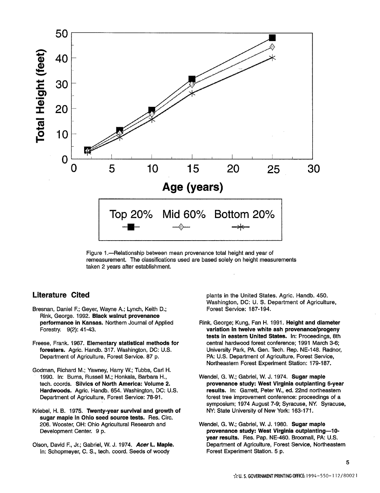

Figure 1.-Relationship between mean provenance total height and year of remeasurement. The classifications used are based solely on height measurements taken 2 years after establishment.

# **Literature Cited**

- Bresnan, Daniel F.; Geyer, Wayne A.; Lynch, Keith D.; Rink, George. 1992. **Black walnut provenance performance in Kansas.** Northern Journal of Applied Forestry. 9(2): 41-43.
- Freese, Frank. 1967. **Elementary statistical methods for**  foresters. Agric. Handb. 317. Washington, DC: U.S. Department of Agriculture, Forest Service. 87 p.
- Godman, Richard M.; Yawney, Harry W.; Tubbs, Carl H. 1990. In: Burns, Russell M.; Honkala, Barbara H., tech. coords. **Silvics of North America: Volume 2.**  Hardwoods. Agric. Handb. 654. Washington, DC: U.S. Department of Agriculture, Forest Service: 78-91.
- Kriebel, H. B. 1975. **Twenty-year survival and growth of sugar maple in Ohio seed source tests.** Res. Circ. 206. Wooster, OH: Ohio Agricultural Research and Development Center. 9 **p.**
- Olson, David F., Jr.; Gabriel, W. J. 1974. **Acer L. Maple.**  In: Schopmeyer, C. S., tech. coord. Seeds of woody

plants in the United States. Agric. Handb. 450. Washington, DC: U. S. Department of Agriculture, Forest Service: 187-194.

- Rink, George; Kung, Fan H. 1991. **Height and diameter variation in twelve white ash provenancelprogeny tests in eastern United States.** In: Proceedings, 8th central hardwood forest conference; 1991 March 3-6; University Park, PA. Gen. Tech. Rep. NE-148. Radnor, PA: U.S. Department of Agriculture, Forest Service, Northeastern Forest Experiment Station: 179-187.
- Wendel, G. W.; Gabriel, W. J. 1974. **Sugar maple provenance study: West Virginia outplanting 6-year results.** In: Garrett, Peter W., ed. 22nd northeastern forest tree improvement conference: proceedings of a symposium; 1974 August 7-9; Syracuse, NY. Syracuse, NY: State University of New York: 163-171.
- Wendel, G. W.; Gabriel, W. J. 1980. **Sugar maple provenance study: West Virginia outplanting-10**  year results. Res. Pap. NE-460. Broomall, PA: U.S. Department of Agriculture, Forest Service, Northeastern Forest Experiment Station. 5 p.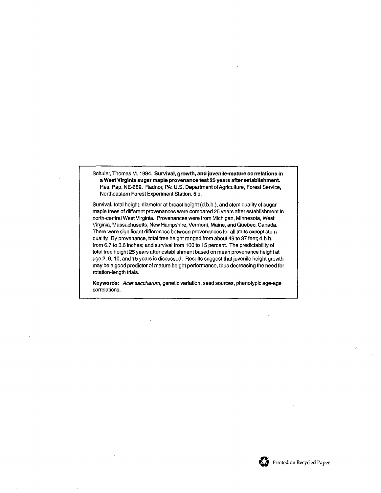Schuler, Thomas M. 1994. Survival, growth, and juvenile-mature correlations in a West Virginia sugar maple provenance test 25 years after establishment. Res. Pap. NE-689. Radnor, PA: U.S. Department of Agriculture, Forest Service, Northeastern Forest Experiment Station. 5 p.

Survival, total height, diameter at breast height (d.b.h.), and stem quality of sugar maple trees of different provenances were compared 25 years after establishment in north-central West Virginia. Provenances were from Michigan, Minnesota, West Virginia, Massachusetts, New Hampshire, Vermont, Maine, and Quebec, Canada. There were significant differences between provenances for all traits except stem quality. By provenance, total tree height ranged from about 49 to 37 feet; d.b.h. from 6.7 to 3.6 inches; and survival from **I00** to **15** percent. The predictability of total tree height 25 years after establishment based on mean provenance height at age **2,6,** 10, and 15 years is discussed. Results suggest that juvenile height growth may be a good predictor of mature height performance, thus decreasing the need for rotation-length trials.

Keywords: **Acersaccharum,** genetic variation, seed sources, phenotypic age-age correlations.